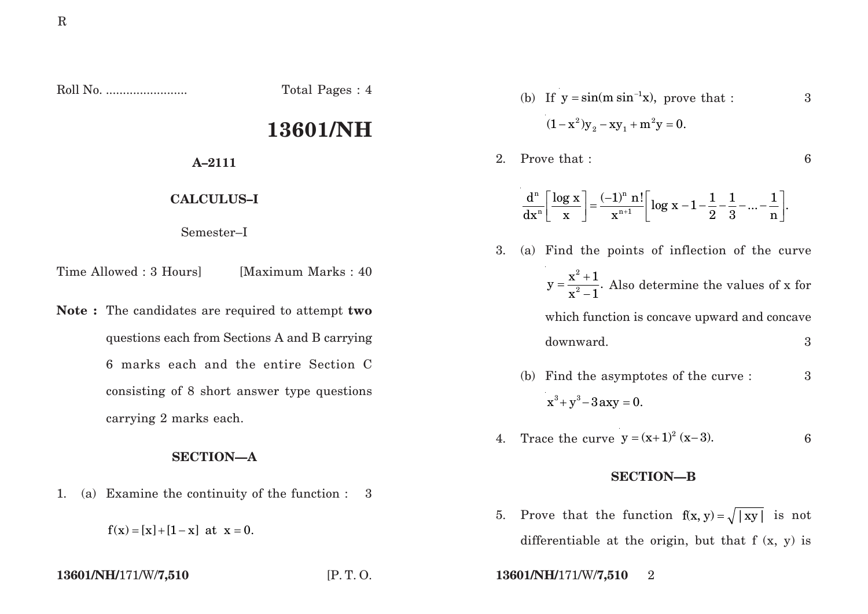Roll No. ........................ Total Pages : 4

# **13601/NH**

**A–2111**

**CALCULUS–I**

Semester–I

Time Allowed : 3 Hours [Maximum Marks : 40]

**Note :** The candidates are required to attempt **two** questions each from Sections A and B carrying 6 marks each and the entire Section C consisting of 8 short answer type questions carrying 2 marks each.

# **SECTION—A**

1. (a) Examine the continuity of the function : 3

 $f(x) = [x] + [1 - x]$  at  $x = 0$ .

- (b) If  $y = \sin(m \sin^{-1} x)$ , prove that : 3  $(1-x^2)y_{2}-xy_{1}+m^2y=0.$
- 2. Prove that : 6

$$
\frac{d^n}{dx^n}\left[\frac{\log x}{x}\right] = \frac{(-1)^n \; n!}{x^{n+1}} \left[\log x - 1 - \frac{1}{2} - \frac{1}{3} - ... - \frac{1}{n}\right].
$$

- 3. (a) Find the points of inflection of the curve 2 2  $x^2 + 1$  $y = \frac{1}{x^2 - 1}$ .  $=\frac{x^2+1}{x^2-1}$ . Also determine the values of x for which function is concave upward and concave downward. 3
	- (b) Find the asymptotes of the curve : 3  $x^3 + y^3 - 3axy = 0.$
- 4. Trace the curve  $y = (x+1)^2 (x-3)$ . 6

## **SECTION—B**

- 5. Prove that the function  $f(x, y) = \sqrt{|xy|}$  is not differentiable at the origin, but that  $f(x, y)$  is
- **13601/NH/**171/W/**7,510** [P. T. O. **13601/NH/**171/W/**7,510** 2